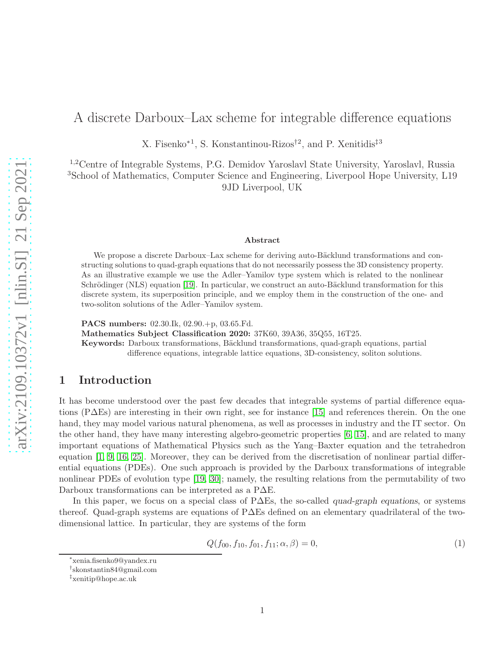# A discrete Darboux–Lax scheme for integrable difference equations

X. Fisenko<sup>∗</sup><sup>1</sup> , S. Konstantinou-Rizos†<sup>2</sup> , and P. Xenitidis‡<sup>3</sup>

1,2Centre of Integrable Systems, P.G. Demidov Yaroslavl State University, Yaroslavl, Russia <sup>3</sup>School of Mathematics, Computer Science and Engineering, Liverpool Hope University, L19 9JD Liverpool, UK

#### Abstract

We propose a discrete Darboux–Lax scheme for deriving auto-Bäcklund transformations and constructing solutions to quad-graph equations that do not necessarily possess the 3D consistency property. As an illustrative example we use the Adler–Yamilov type system which is related to the nonlinear Schrödinger (NLS) equation [\[19\]](#page-12-0). In particular, we construct an auto-Bäcklund transformation for this discrete system, its superposition principle, and we employ them in the construction of the one- and two-soliton solutions of the Adler–Yamilov system.

PACS numbers: 02.30.Ik, 02.90.+p, 03.65.Fd.

Mathematics Subject Classification 2020: 37K60, 39A36, 35Q55, 16T25.

Keywords: Darboux transformations, Bäcklund transformations, quad-graph equations, partial difference equations, integrable lattice equations, 3D-consistency, soliton solutions.

#### 1 Introduction

It has become understood over the past few decades that integrable systems of partial difference equations (P∆Es) are interesting in their own right, see for instance [\[15\]](#page-12-1) and references therein. On the one hand, they may model various natural phenomena, as well as processes in industry and the IT sector. On the other hand, they have many interesting algebro-geometric properties [\[6,](#page-12-2) [15\]](#page-12-1), and are related to many important equations of Mathematical Physics such as the Yang–Baxter equation and the tetrahedron equation [\[1,](#page-11-0) [9,](#page-12-3) [16,](#page-12-4) [25\]](#page-13-0). Moreover, they can be derived from the discretisation of nonlinear partial differential equations (PDEs). One such approach is provided by the Darboux transformations of integrable nonlinear PDEs of evolution type [\[19,](#page-12-0) [30\]](#page-13-1); namely, the resulting relations from the permutability of two Darboux transformations can be interpreted as a P∆E.

In this paper, we focus on a special class of P∆Es, the so-called quad-graph equations, or systems thereof. Quad-graph systems are equations of P∆Es defined on an elementary quadrilateral of the twodimensional lattice. In particular, they are systems of the form

$$
Q(f_{00}, f_{10}, f_{01}, f_{11}; \alpha, \beta) = 0,\t\t(1)
$$

<sup>∗</sup> xenia.fisenko9@yandex.ru

<sup>†</sup> skonstantin84@gmail.com

<sup>‡</sup> xenitip@hope.ac.uk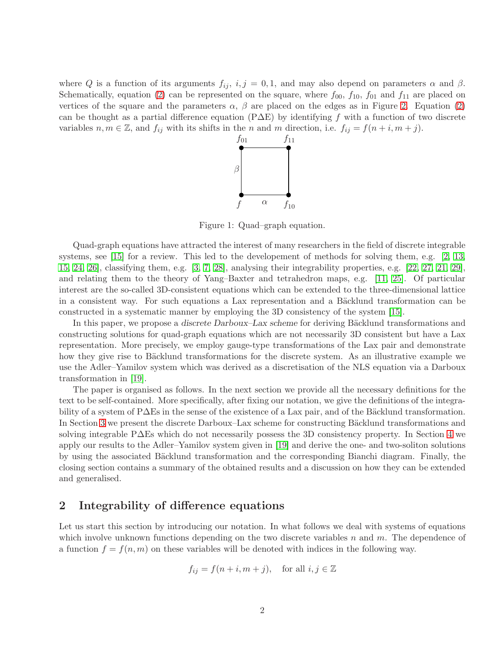where Q is a function of its arguments  $f_{ij}$ ,  $i, j = 0, 1$ , and may also depend on parameters  $\alpha$  and  $\beta$ . Schematically, equation [\(2\)](#page-2-0) can be represented on the square, where  $f_{00}$ ,  $f_{10}$ ,  $f_{01}$  and  $f_{11}$  are placed on vertices of the square and the parameters  $\alpha$ ,  $\beta$  are placed on the edges as in Figure [2.](#page-2-0) Equation [\(2\)](#page-2-0) can be thought as a partial difference equation (P $\Delta E$ ) by identifying f with a function of two discrete variables  $n, m \in \mathbb{Z}$ , and  $f_{ij}$  with its shifts in the n and m direction, i.e.  $f_{ij} = f(n+i, m+j)$ .



Figure 1: Quad–graph equation.

Quad-graph equations have attracted the interest of many researchers in the field of discrete integrable systems, see [\[15\]](#page-12-1) for a review. This led to the developement of methods for solving them, e.g. [\[2,](#page-11-1) [13,](#page-12-5) [15,](#page-12-1) [24,](#page-13-2) [26\]](#page-13-3), classifying them, e.g. [\[3,](#page-11-2) [7,](#page-12-6) [28\]](#page-13-4), analysing their integrability properties, e.g. [\[22,](#page-13-5) [27,](#page-13-6) [21,](#page-12-7) [29\]](#page-13-7), and relating them to the theory of Yang–Baxter and tetrahedron maps, e.g. [\[11,](#page-12-8) [25\]](#page-13-0). Of particular interest are the so-called 3D-consistent equations which can be extended to the three-dimensional lattice in a consistent way. For such equations a Lax representation and a Bäcklund transformation can be constructed in a systematic manner by employing the 3D consistency of the system [\[15\]](#page-12-1).

In this paper, we propose a discrete Darboux–Lax scheme for deriving Bäcklund transformations and constructing solutions for quad-graph equations which are not necessarily 3D consistent but have a Lax representation. More precisely, we employ gauge-type transformations of the Lax pair and demonstrate how they give rise to Bäcklund transformations for the discrete system. As an illustrative example we use the Adler–Yamilov system which was derived as a discretisation of the NLS equation via a Darboux transformation in [\[19\]](#page-12-0).

The paper is organised as follows. In the next section we provide all the necessary definitions for the text to be self-contained. More specifically, after fixing our notation, we give the definitions of the integrability of a system of P∆Es in the sense of the existence of a Lax pair, and of the Bäcklund transformation. In Section [3](#page-2-1) we present the discrete Darboux–Lax scheme for constructing Bäcklund transformations and solving integrable P∆Es which do not necessarily possess the 3D consistency property. In Section [4](#page-5-0) we apply our results to the Adler–Yamilov system given in [\[19\]](#page-12-0) and derive the one- and two-soliton solutions by using the associated Bäcklund transformation and the corresponding Bianchi diagram. Finally, the closing section contains a summary of the obtained results and a discussion on how they can be extended and generalised.

### 2 Integrability of difference equations

Let us start this section by introducing our notation. In what follows we deal with systems of equations which involve unknown functions depending on the two discrete variables  $n$  and  $m$ . The dependence of a function  $f = f(n, m)$  on these variables will be denoted with indices in the following way.

$$
f_{ij} = f(n+i, m+j), \text{ for all } i, j \in \mathbb{Z}
$$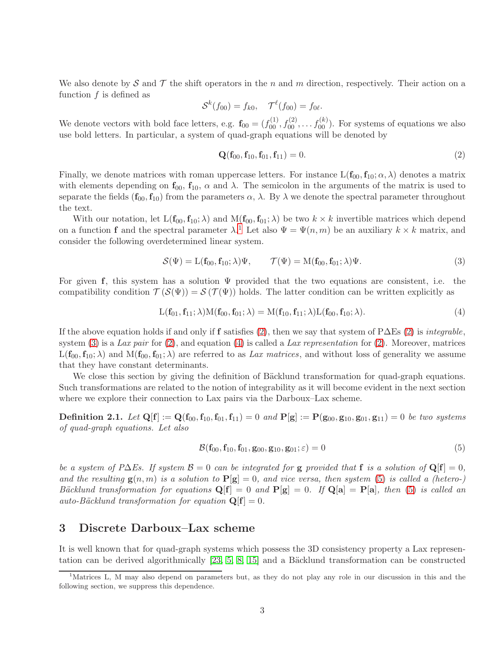We also denote by S and T the shift operators in the n and m direction, respectively. Their action on a function  $f$  is defined as

$$
\mathcal{S}^k(f_{00}) = f_{k0}, \quad \mathcal{T}^\ell(f_{00}) = f_{0\ell}.
$$

We denote vectors with bold face letters, e.g.  $\mathbf{f}_{00} = (f_{00}^{(1)}, f_{00}^{(2)}, \dots, f_{00}^{(k)})$ . For systems of equations we also use bold letters. In particular, a system of quad-graph equations will be denoted by

<span id="page-2-0"></span>
$$
\mathbf{Q}(\mathbf{f}_{00}, \mathbf{f}_{10}, \mathbf{f}_{01}, \mathbf{f}_{11}) = 0. \tag{2}
$$

Finally, we denote matrices with roman uppercase letters. For instance  $L(f_{00}, f_{10}; \alpha, \lambda)$  denotes a matrix with elements depending on  $f_{00}$ ,  $f_{10}$ ,  $\alpha$  and  $\lambda$ . The semicolon in the arguments of the matrix is used to separate the fields  $(f_{00}, f_{10})$  from the parameters  $\alpha$ ,  $\lambda$ . By  $\lambda$  we denote the spectral parameter throughout the text.

With our notation, let  $L(f_{00}, f_{10}; \lambda)$  and  $M(f_{00}, f_{01}; \lambda)$  be two  $k \times k$  invertible matrices which depend on a function **f** and the spectral parameter  $\lambda$ .<sup>[1](#page-2-2)</sup> Let also  $\Psi = \Psi(n,m)$  be an auxiliary  $k \times k$  matrix, and consider the following overdetermined linear system.

<span id="page-2-3"></span>
$$
\mathcal{S}(\Psi) = \mathcal{L}(\mathbf{f}_{00}, \mathbf{f}_{10}; \lambda) \Psi, \qquad \mathcal{T}(\Psi) = \mathcal{M}(\mathbf{f}_{00}, \mathbf{f}_{01}; \lambda) \Psi.
$$
\n(3)

For given f, this system has a solution  $\Psi$  provided that the two equations are consistent, i.e. the compatibility condition  $\mathcal{T}(\mathcal{S}(\Psi)) = \mathcal{S}(\mathcal{T}(\Psi))$  holds. The latter condition can be written explicitly as

<span id="page-2-4"></span>
$$
L(f_{01}, f_{11}; \lambda)M(f_{00}, f_{01}; \lambda) = M(f_{10}, f_{11}; \lambda)L(f_{00}, f_{10}; \lambda).
$$
\n(4)

If the above equation holds if and only if f satisfies [\(2\)](#page-2-0), then we say that system of P $\Delta$ Es (2) is *integrable*, system [\(3\)](#page-2-3) is a Lax pair for [\(2\)](#page-2-0), and equation [\(4\)](#page-2-4) is called a Lax representation for (2). Moreover, matrices  $L(f_{00}, f_{10}; \lambda)$  and  $M(f_{00}, f_{01}; \lambda)$  are referred to as Lax matrices, and without loss of generality we assume that they have constant determinants.

We close this section by giving the definition of Bäcklund transformation for quad-graph equations. Such transformations are related to the notion of integrability as it will become evident in the next section where we explore their connection to Lax pairs via the Darboux–Lax scheme.

**Definition 2.1.** Let  $Q[f] := Q(f_{00}, f_{10}, f_{01}, f_{11}) = 0$  and  $P[g] := P(g_{00}, g_{10}, g_{01}, g_{11}) = 0$  be two systems of quad-graph equations. Let also

<span id="page-2-5"></span>
$$
\mathcal{B}(\mathbf{f}_{00}, \mathbf{f}_{10}, \mathbf{f}_{01}, \mathbf{g}_{00}, \mathbf{g}_{10}, \mathbf{g}_{01}; \varepsilon) = 0 \tag{5}
$$

be a system of P $\Delta E$ s. If system  $\mathcal{B} = 0$  can be integrated for g provided that f is a solution of  $\mathbf{Q}[\mathbf{f}] = 0$ , and the resulting  $g(n,m)$  is a solution to  $P[g] = 0$ , and vice versa, then system [\(5\)](#page-2-5) is called a (hetero-) Bäcklund transformation for equations  $Q[f] = 0$  and  $P[g] = 0$ . If  $Q[a] = P[a]$ , then [\(5\)](#page-2-5) is called an auto-Bäcklund transformation for equation  $\mathbf{Q}[\mathbf{f}] = 0$ .

### <span id="page-2-1"></span>3 Discrete Darboux–Lax scheme

It is well known that for quad-graph systems which possess the 3D consistency property a Lax representation can be derived algorithmically  $[23, 5, 8, 15]$  $[23, 5, 8, 15]$  $[23, 5, 8, 15]$  $[23, 5, 8, 15]$  and a Bäcklund transformation can be constructed

<span id="page-2-2"></span><sup>&</sup>lt;sup>1</sup>Matrices L, M may also depend on parameters but, as they do not play any role in our discussion in this and the following section, we suppress this dependence.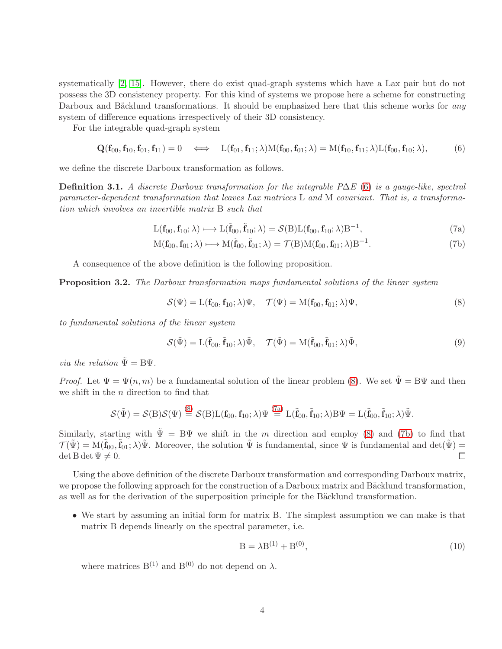systematically [\[2,](#page-11-1) [15\]](#page-12-1). However, there do exist quad-graph systems which have a Lax pair but do not possess the 3D consistency property. For this kind of systems we propose here a scheme for constructing Darboux and Bäcklund transformations. It should be emphasized here that this scheme works for any system of difference equations irrespectively of their 3D consistency.

For the integrable quad-graph system

<span id="page-3-0"></span>
$$
\mathbf{Q}(\mathbf{f}_{00}, \mathbf{f}_{10}, \mathbf{f}_{01}, \mathbf{f}_{11}) = 0 \quad \Longleftrightarrow \quad \mathbf{L}(\mathbf{f}_{01}, \mathbf{f}_{11}; \lambda) \mathbf{M}(\mathbf{f}_{00}, \mathbf{f}_{01}; \lambda) = \mathbf{M}(\mathbf{f}_{10}, \mathbf{f}_{11}; \lambda) \mathbf{L}(\mathbf{f}_{00}, \mathbf{f}_{10}; \lambda), \tag{6}
$$

we define the discrete Darboux transformation as follows.

Definition 3.1. A discrete Darboux transformation for the integrable P $\Delta E$  [\(6\)](#page-3-0) is a gauge-like, spectral parameter-dependent transformation that leaves Lax matrices L and M covariant. That is, a transformation which involves an invertible matrix B such that

<span id="page-3-4"></span>
$$
L(\mathbf{f}_{00}, \mathbf{f}_{10}; \lambda) \longmapsto L(\tilde{\mathbf{f}}_{00}, \tilde{\mathbf{f}}_{10}; \lambda) = \mathcal{S}(B)L(\mathbf{f}_{00}, \mathbf{f}_{10}; \lambda)B^{-1}, \tag{7a}
$$

$$
M(\mathbf{f}_{00}, \mathbf{f}_{01}; \lambda) \longmapsto M(\tilde{\mathbf{f}}_{00}, \tilde{\mathbf{f}}_{01}; \lambda) = \mathcal{T}(B)M(\mathbf{f}_{00}, \mathbf{f}_{01}; \lambda)B^{-1}.
$$
 (7b)

A consequence of the above definition is the following proposition.

Proposition 3.2. The Darboux transformation maps fundamental solutions of the linear system

<span id="page-3-3"></span><span id="page-3-2"></span><span id="page-3-1"></span>
$$
\mathcal{S}(\Psi) = \mathcal{L}(\mathbf{f}_{00}, \mathbf{f}_{10}; \lambda) \Psi, \quad \mathcal{T}(\Psi) = \mathcal{M}(\mathbf{f}_{00}, \mathbf{f}_{01}; \lambda) \Psi,
$$
\n
$$
(8)
$$

to fundamental solutions of the linear system

$$
\mathcal{S}(\tilde{\Psi}) = \mathcal{L}(\tilde{\mathbf{f}}_{00}, \tilde{\mathbf{f}}_{10}; \lambda) \tilde{\Psi}, \quad \mathcal{T}(\tilde{\Psi}) = \mathcal{M}(\tilde{\mathbf{f}}_{00}, \tilde{\mathbf{f}}_{01}; \lambda) \tilde{\Psi}, \tag{9}
$$

*via the relation*  $\tilde{\Psi} = B\Psi$ .

*Proof.* Let  $\Psi = \Psi(n, m)$  be a fundamental solution of the linear problem [\(8\)](#page-3-1). We set  $\tilde{\Psi} = B\Psi$  and then we shift in the n direction to find that

$$
\mathcal{S}(\tilde{\Psi}) = \mathcal{S}(B)\mathcal{S}(\Psi) \stackrel{(8)}{=} \mathcal{S}(B)L(f_{00}, f_{10}; \lambda)\Psi \stackrel{(7a)}{=} L(\tilde{f}_{00}, \tilde{f}_{10}; \lambda)B\Psi = L(\tilde{f}_{00}, \tilde{f}_{10}; \lambda)\tilde{\Psi}.
$$

Similarly, starting with  $\tilde{\Psi} = B\Psi$  we shift in the m direction and employ [\(8\)](#page-3-1) and [\(7b\)](#page-3-3) to find that  $\mathcal{T}(\tilde{\Psi}) = M(\tilde{\mathbf{f}}_{00}, \tilde{\mathbf{f}}_{01}; \lambda) \tilde{\Psi}$ . Moreover, the solution  $\tilde{\Psi}$  is fundamental, since  $\Psi$  is fundamental and  $\det(\tilde{\Psi}) =$  $\det B \det \Psi \neq 0.$  $\Box$ 

Using the above definition of the discrete Darboux transformation and corresponding Darboux matrix, we propose the following approach for the construction of a Darboux matrix and Bäcklund transformation, as well as for the derivation of the superposition principle for the Bäcklund transformation.

• We start by assuming an initial form for matrix B. The simplest assumption we can make is that matrix B depends linearly on the spectral parameter, i.e.

<span id="page-3-5"></span>
$$
B = \lambda B^{(1)} + B^{(0)},\tag{10}
$$

where matrices  $B^{(1)}$  and  $B^{(0)}$  do not depend on  $\lambda$ .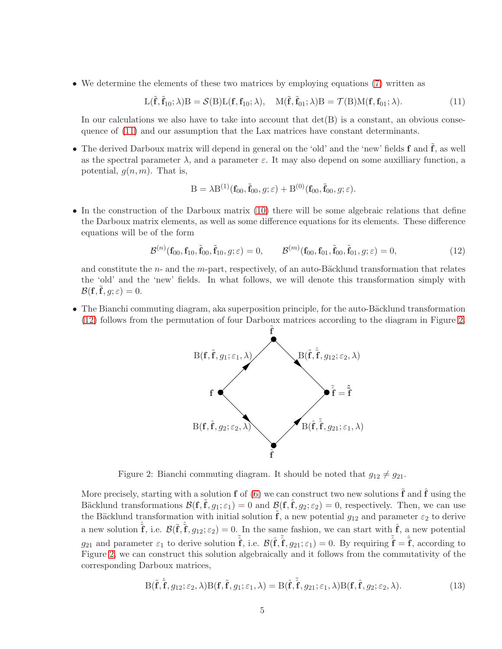• We determine the elements of these two matrices by employing equations [\(7\)](#page-3-4) written as

<span id="page-4-0"></span>
$$
L(\tilde{\mathbf{f}}, \tilde{\mathbf{f}}_{10}; \lambda)B = \mathcal{S}(B)L(\mathbf{f}, \mathbf{f}_{10}; \lambda), \quad M(\tilde{\mathbf{f}}, \tilde{\mathbf{f}}_{01}; \lambda)B = \mathcal{T}(B)M(\mathbf{f}, \mathbf{f}_{01}; \lambda).
$$
 (11)

In our calculations we also have to take into account that  $\det(B)$  is a constant, an obvious consequence of [\(11\)](#page-4-0) and our assumption that the Lax matrices have constant determinants.

• The derived Darboux matrix will depend in general on the 'old' and the 'new' fields  $f$  and  $\tilde{f}$ , as well as the spectral parameter  $\lambda$ , and a parameter  $\varepsilon$ . It may also depend on some auxilliary function, a potential,  $g(n, m)$ . That is,

$$
\mathbf{B} = \lambda \mathbf{B}^{(1)}(\mathbf{f}_{00}, \tilde{\mathbf{f}}_{00}, g; \varepsilon) + \mathbf{B}^{(0)}(\mathbf{f}_{00}, \tilde{\mathbf{f}}_{00}, g; \varepsilon).
$$

• In the construction of the Darboux matrix [\(10\)](#page-3-5) there will be some algebraic relations that define the Darboux matrix elements, as well as some difference equations for its elements. These difference equations will be of the form

<span id="page-4-1"></span>
$$
\mathcal{B}^{(n)}(\mathbf{f}_{00}, \mathbf{f}_{10}, \tilde{\mathbf{f}}_{00}, \tilde{\mathbf{f}}_{10}, g; \varepsilon) = 0, \qquad \mathcal{B}^{(m)}(\mathbf{f}_{00}, \mathbf{f}_{01}, \tilde{\mathbf{f}}_{00}, \tilde{\mathbf{f}}_{01}, g; \varepsilon) = 0,
$$
\n(12)

and constitute the  $n-$  and the m-part, respectively, of an auto-Bäcklund transformation that relates the 'old' and the 'new' fields. In what follows, we will denote this transformation simply with  $\mathcal{B}(\mathbf{f}, \tilde{\mathbf{f}}, g; \varepsilon) = 0.$ 

• The Bianchi commuting diagram, aka superposition principle, for the auto-Bäcklund transformation [\(12\)](#page-4-1) follows from the permutation of four Darboux matrices according to the diagram in Figure [2.](#page-4-2)



<span id="page-4-2"></span>Figure 2: Bianchi commuting diagram. It should be noted that  $g_{12} \neq g_{21}$ .

More precisely, starting with a solution **f** of [\(6\)](#page-3-0) we can construct two new solutions  $\tilde{\mathbf{f}}$  and  $\hat{\mathbf{f}}$  using the Bäcklund transformations  $\mathcal{B}(\mathbf{f}, \tilde{\mathbf{f}}, g_1; \varepsilon_1) = 0$  and  $\mathcal{B}(\mathbf{f}, \hat{\mathbf{f}}, g_2; \varepsilon_2) = 0$ , respectively. Then, we can use the Bäcklund transformation with initial solution  $\tilde{\mathbf{f}}$ , a new potential  $g_{12}$  and parameter  $\varepsilon_2$  to derive a new solution  $\hat{\tilde{f}}$ , i.e.  $\mathcal{B}(\tilde{f}, \hat{f}, g_{12}; \varepsilon_2) = 0$ . In the same fashion, we can start with  $\hat{f}$ , a new potential  $g_{21}$  and parameter  $\varepsilon_1$  to derive solution  $\tilde{\hat{\mathbf{f}}}$ , i.e.  $\mathcal{B}(\hat{\mathbf{f}}, \tilde{\hat{\mathbf{f}}}, g_{21}; \varepsilon_1) = 0$ . By requiring  $\tilde{\hat{\mathbf{f}}} = \hat{\hat{\mathbf{f}}}$ , according to Figure [2,](#page-4-2) we can construct this solution algebraically and it follows from the commutativity of the corresponding Darboux matrices,

<span id="page-4-3"></span>
$$
B(\tilde{f}, \tilde{f}, g_{12}; \varepsilon_2, \lambda)B(f, \tilde{f}, g_1; \varepsilon_1, \lambda) = B(\hat{f}, \tilde{f}, g_{21}; \varepsilon_1, \lambda)B(f, \hat{f}, g_2; \varepsilon_2, \lambda).
$$
\n(13)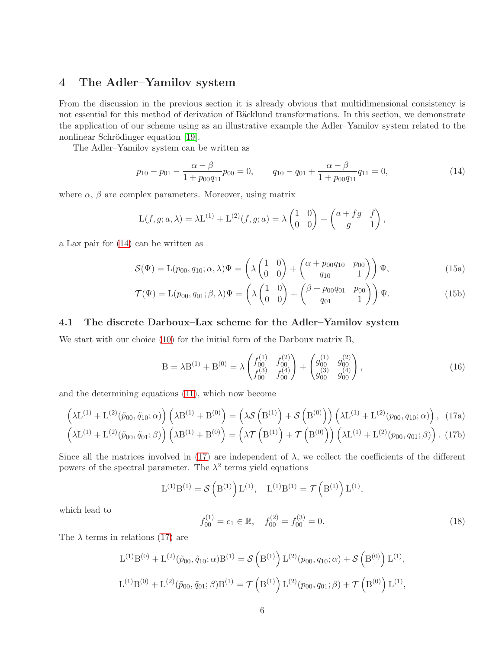## <span id="page-5-0"></span>4 The Adler–Yamilov system

From the discussion in the previous section it is already obvious that multidimensional consistency is not essential for this method of derivation of Bäcklund transformations. In this section, we demonstrate the application of our scheme using as an illustrative example the Adler–Yamilov system related to the nonlinear Schrödinger equation [\[19\]](#page-12-0).

The Adler–Yamilov system can be written as

<span id="page-5-1"></span>
$$
p_{10} - p_{01} - \frac{\alpha - \beta}{1 + p_{00}q_{11}}p_{00} = 0, \qquad q_{10} - q_{01} + \frac{\alpha - \beta}{1 + p_{00}q_{11}}q_{11} = 0,\tag{14}
$$

where  $\alpha$ ,  $\beta$  are complex parameters. Moreover, using matrix

$$
L(f,g;a,\lambda) = \lambda L^{(1)} + L^{(2)}(f,g;a) = \lambda \begin{pmatrix} 1 & 0 \\ 0 & 0 \end{pmatrix} + \begin{pmatrix} a+fg & f \\ g & 1 \end{pmatrix},
$$

a Lax pair for [\(14\)](#page-5-1) can be written as

<span id="page-5-5"></span>
$$
S(\Psi) = \mathcal{L}(p_{00}, q_{10}; \alpha, \lambda)\Psi = \left(\lambda \begin{pmatrix} 1 & 0 \\ 0 & 0 \end{pmatrix} + \begin{pmatrix} \alpha + p_{00}q_{10} & p_{00} \\ q_{10} & 1 \end{pmatrix}\right)\Psi,
$$
(15a)

$$
\mathcal{T}(\Psi) = \mathcal{L}(p_{00}, q_{01}; \beta, \lambda)\Psi = \left(\lambda \begin{pmatrix} 1 & 0 \\ 0 & 0 \end{pmatrix} + \begin{pmatrix} \beta + p_{00}q_{01} & p_{00} \\ q_{01} & 1 \end{pmatrix}\right)\Psi.
$$
 (15b)

#### <span id="page-5-4"></span>4.1 The discrete Darboux–Lax scheme for the Adler–Yamilov system

We start with our choice  $(10)$  for the initial form of the Darboux matrix B,

<span id="page-5-2"></span>
$$
B = \lambda B^{(1)} + B^{(0)} = \lambda \begin{pmatrix} f_{00}^{(1)} & f_{00}^{(2)} \\ f_{00}^{(3)} & f_{00}^{(4)} \end{pmatrix} + \begin{pmatrix} g_{00}^{(1)} & g_{00}^{(2)} \\ g_{00}^{(3)} & g_{00}^{(4)} \end{pmatrix},
$$
(16)

and the determining equations [\(11\)](#page-4-0), which now become

$$
\left(\lambda \mathcal{L}^{(1)} + \mathcal{L}^{(2)}(\tilde{p}_{00}, \tilde{q}_{10}; \alpha)\right) \left(\lambda \mathcal{B}^{(1)} + \mathcal{B}^{(0)}\right) = \left(\lambda \mathcal{S}\left(\mathcal{B}^{(1)}\right) + \mathcal{S}\left(\mathcal{B}^{(0)}\right)\right) \left(\lambda \mathcal{L}^{(1)} + \mathcal{L}^{(2)}(p_{00}, q_{10}; \alpha)\right), (17a)
$$
\n
$$
\left(\lambda \mathcal{L}^{(1)} + \mathcal{L}^{(2)}(\tilde{p}_{00}, \tilde{q}_{01}; \beta)\right) \left(\lambda \mathcal{B}^{(1)} + \mathcal{B}^{(0)}\right) = \left(\lambda \mathcal{T}\left(\mathcal{B}^{(1)}\right) + \mathcal{T}\left(\mathcal{B}^{(0)}\right)\right) \left(\lambda \mathcal{L}^{(1)} + \mathcal{L}^{(2)}(p_{00}, q_{01}; \beta)\right). (17b)
$$

Since all the matrices involved in [\(17\)](#page-5-2) are independent of  $\lambda$ , we collect the coefficients of the different powers of the spectral parameter. The  $\lambda^2$  terms yield equations

$$
L^{(1)}B^{(1)} = \mathcal{S}\left(B^{(1)}\right)L^{(1)}, \quad L^{(1)}B^{(1)} = \mathcal{T}\left(B^{(1)}\right)L^{(1)},
$$

which lead to

<span id="page-5-3"></span>
$$
f_{00}^{(1)} = c_1 \in \mathbb{R}, \quad f_{00}^{(2)} = f_{00}^{(3)} = 0.
$$
 (18)

The  $\lambda$  terms in relations [\(17\)](#page-5-2) are

$$
L^{(1)}B^{(0)} + L^{(2)}(\tilde{p}_{00}, \tilde{q}_{10}; \alpha)B^{(1)} = \mathcal{S}\left(B^{(1)}\right)L^{(2)}(p_{00}, q_{10}; \alpha) + \mathcal{S}\left(B^{(0)}\right)L^{(1)},
$$
  

$$
L^{(1)}B^{(0)} + L^{(2)}(\tilde{p}_{00}, \tilde{q}_{01}; \beta)B^{(1)} = \mathcal{T}\left(B^{(1)}\right)L^{(2)}(p_{00}, q_{01}; \beta) + \mathcal{T}\left(B^{(0)}\right)L^{(1)},
$$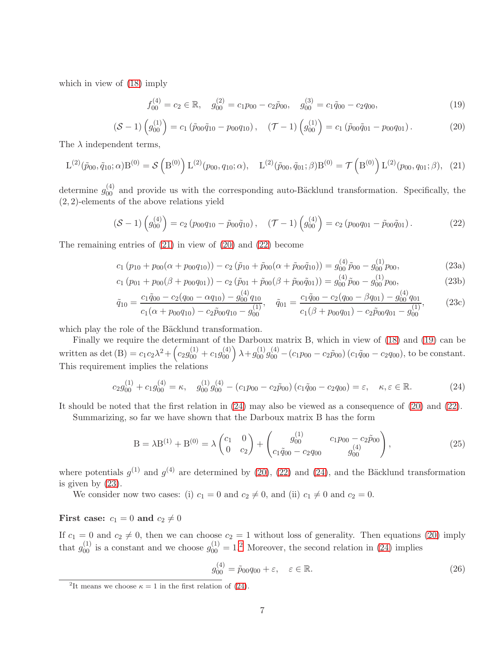which in view of [\(18\)](#page-5-3) imply

<span id="page-6-3"></span>
$$
f_{00}^{(4)} = c_2 \in \mathbb{R}, \quad g_{00}^{(2)} = c_1 p_{00} - c_2 \tilde{p}_{00}, \quad g_{00}^{(3)} = c_1 \tilde{q}_{00} - c_2 q_{00}, \tag{19}
$$

<span id="page-6-1"></span>
$$
\left(S-1\right)\left(g_{00}^{(1)}\right) = c_1 \left(\tilde{p}_{00}\tilde{q}_{10} - p_{00}q_{10}\right), \quad \left(\mathcal{T}-1\right)\left(g_{00}^{(1)}\right) = c_1 \left(\tilde{p}_{00}\tilde{q}_{01} - p_{00}q_{01}\right). \tag{20}
$$

The  $\lambda$  independent terms,

<span id="page-6-0"></span>
$$
L^{(2)}(\tilde{p}_{00}, \tilde{q}_{10}; \alpha)B^{(0)} = \mathcal{S}\left(B^{(0)}\right)L^{(2)}(p_{00}, q_{10}; \alpha), \quad L^{(2)}(\tilde{p}_{00}, \tilde{q}_{01}; \beta)B^{(0)} = \mathcal{T}\left(B^{(0)}\right)L^{(2)}(p_{00}, q_{01}; \beta), \quad (21)
$$

determine  $g_{00}^{(4)}$  and provide us with the corresponding auto-Bäcklund transformation. Specifically, the (2, 2)-elements of the above relations yield

<span id="page-6-2"></span>
$$
\left(S-1\right)\left(g_{00}^{(4)}\right) = c_2 \left(p_{00}q_{10} - \tilde{p}_{00}\tilde{q}_{10}\right), \quad \left(\mathcal{T}-1\right)\left(g_{00}^{(4)}\right) = c_2 \left(p_{00}q_{01} - \tilde{p}_{00}\tilde{q}_{01}\right). \tag{22}
$$

The remaining entries of [\(21\)](#page-6-0) in view of [\(20\)](#page-6-1) and [\(22\)](#page-6-2) become

<span id="page-6-5"></span>
$$
c_1 (p_{10} + p_{00}(\alpha + p_{00}q_{10})) - c_2 (\tilde{p}_{10} + \tilde{p}_{00}(\alpha + \tilde{p}_{00}\tilde{q}_{10})) = g_{00}^{(4)} \tilde{p}_{00} - g_{00}^{(1)} p_{00},
$$
\n(23a)

$$
c_1 (p_{01} + p_{00}(\beta + p_{00}q_{01})) - c_2 (\tilde{p}_{01} + \tilde{p}_{00}(\beta + \tilde{p}_{00}\tilde{q}_{01})) = g_{00}^{(4)} \tilde{p}_{00} - g_{00}^{(1)} p_{00},
$$
\n(23b)

$$
\tilde{q}_{10} = \frac{c_1 \tilde{q}_{00} - c_2 (q_{00} - \alpha q_{10}) - g_{00}^{(4)} q_{10}}{c_1 (\alpha + p_{00} q_{10}) - c_2 \tilde{p}_{00} q_{10} - g_{00}^{(1)}}, \quad \tilde{q}_{01} = \frac{c_1 \tilde{q}_{00} - c_2 (q_{00} - \beta q_{01}) - g_{00}^{(4)} q_{01}}{c_1 (\beta + p_{00} q_{01}) - c_2 \tilde{p}_{00} q_{01} - g_{00}^{(1)}},
$$
\n(23c)

which play the role of the Bäcklund transformation.

Finally we require the determinant of the Darboux matrix B, which in view of [\(18\)](#page-5-3) and [\(19\)](#page-6-3) can be written as det  $(B) = c_1 c_2 \lambda^2 + (c_2 g_{00}^{(1)} + c_1 g_{00}^{(4)}) \lambda + g_{00}^{(1)} g_{00}^{(4)} - (c_1 p_{00} - c_2 \tilde{p}_{00}) (c_1 \tilde{q}_{00} - c_2 q_{00}),$  to be constant. This requirement implies the relations

<span id="page-6-4"></span>
$$
c_2 g_{00}^{(1)} + c_1 g_{00}^{(4)} = \kappa, \quad g_{00}^{(1)} g_{00}^{(4)} - (c_1 p_{00} - c_2 \tilde{p}_{00}) (c_1 \tilde{q}_{00} - c_2 q_{00}) = \varepsilon, \quad \kappa, \varepsilon \in \mathbb{R}.
$$

It should be noted that the first relation in [\(24\)](#page-6-4) may also be viewed as a consequence of [\(20\)](#page-6-1) and [\(22\)](#page-6-2).

Summarizing, so far we have shown that the Darboux matrix B has the form

<span id="page-6-7"></span>
$$
B = \lambda B^{(1)} + B^{(0)} = \lambda \begin{pmatrix} c_1 & 0 \\ 0 & c_2 \end{pmatrix} + \begin{pmatrix} g_{00}^{(1)} & c_1 p_{00} - c_2 \tilde{p}_{00} \\ c_1 \tilde{q}_{00} - c_2 q_{00} & g_{00}^{(4)} \end{pmatrix},
$$
(25)

where potentials  $g^{(1)}$  and  $g^{(4)}$  are determined by [\(20\)](#page-6-1), [\(22\)](#page-6-2) and [\(24\)](#page-6-4), and the Bäcklund transformation is given by [\(23\)](#page-6-5).

We consider now two cases: (i)  $c_1 = 0$  and  $c_2 \neq 0$ , and (ii)  $c_1 \neq 0$  and  $c_2 = 0$ .

## First case:  $c_1 = 0$  and  $c_2 \neq 0$

If  $c_1 = 0$  and  $c_2 \neq 0$ , then we can choose  $c_2 = 1$  without loss of generality. Then equations [\(20\)](#page-6-1) imply that  $g_{00}^{(1)}$  is a constant and we choose  $g_{00}^{(1)} = 1.2$  $g_{00}^{(1)} = 1.2$  Moreover, the second relation in [\(24\)](#page-6-4) implies

$$
g_{00}^{(4)} = \tilde{p}_{00}q_{00} + \varepsilon, \quad \varepsilon \in \mathbb{R}.\tag{26}
$$

<span id="page-6-6"></span><sup>&</sup>lt;sup>2</sup>It means we choose  $\kappa = 1$  in the first relation of [\(24\)](#page-6-4).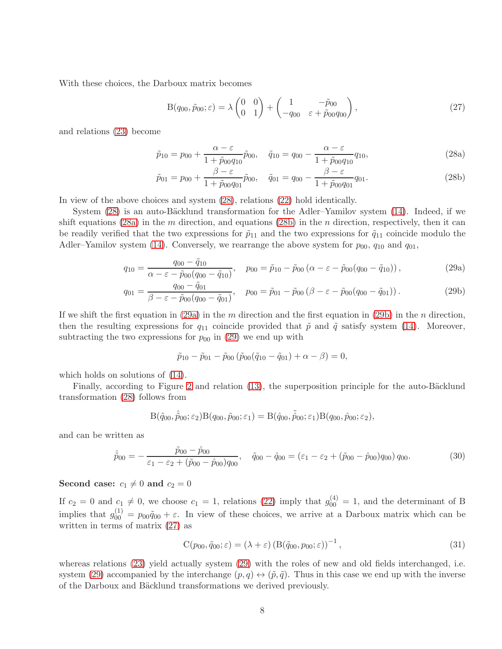With these choices, the Darboux matrix becomes

<span id="page-7-6"></span><span id="page-7-2"></span><span id="page-7-1"></span>
$$
B(q_{00}, \tilde{p}_{00}; \varepsilon) = \lambda \begin{pmatrix} 0 & 0 \\ 0 & 1 \end{pmatrix} + \begin{pmatrix} 1 & -\tilde{p}_{00} \\ -q_{00} & \varepsilon + \tilde{p}_{00}q_{00} \end{pmatrix},
$$
\n(27)

and relations [\(23\)](#page-6-5) become

<span id="page-7-0"></span>
$$
\tilde{p}_{10} = p_{00} + \frac{\alpha - \varepsilon}{1 + \tilde{p}_{00}q_{10}}\tilde{p}_{00}, \quad \tilde{q}_{10} = q_{00} - \frac{\alpha - \varepsilon}{1 + \tilde{p}_{00}q_{10}}q_{10},
$$
\n(28a)

$$
\tilde{p}_{01} = p_{00} + \frac{\beta - \varepsilon}{1 + \tilde{p}_{00}q_{01}} \tilde{p}_{00}, \quad \tilde{q}_{01} = q_{00} - \frac{\beta - \varepsilon}{1 + \tilde{p}_{00}q_{01}} q_{01}.
$$
\n(28b)

In view of the above choices and system [\(28\)](#page-7-0), relations [\(22\)](#page-6-2) hold identically.

System  $(28)$  is an auto-Bäcklund transformation for the Adler–Yamilov system  $(14)$ . Indeed, if we shift equations [\(28a\)](#page-7-1) in the m direction, and equations [\(28b\)](#page-7-2) in the n direction, respectively, then it can be readily verified that the two expressions for  $\tilde{p}_{11}$  and the two expressions for  $\tilde{q}_{11}$  coincide modulo the Adler–Yamilov system [\(14\)](#page-5-1). Conversely, we rearrange the above system for  $p_{00}$ ,  $q_{10}$  and  $q_{01}$ ,

$$
q_{10} = \frac{q_{00} - \tilde{q}_{10}}{\alpha - \varepsilon - \tilde{p}_{00}(q_{00} - \tilde{q}_{10})}, \quad p_{00} = \tilde{p}_{10} - \tilde{p}_{00}(\alpha - \varepsilon - \tilde{p}_{00}(q_{00} - \tilde{q}_{10})), \tag{29a}
$$

$$
q_{01} = \frac{q_{00} - \tilde{q}_{01}}{\beta - \varepsilon - \tilde{p}_{00}(q_{00} - \tilde{q}_{01})}, \quad p_{00} = \tilde{p}_{01} - \tilde{p}_{00}(\beta - \varepsilon - \tilde{p}_{00}(q_{00} - \tilde{q}_{01})).
$$
\n(29b)

If we shift the first equation in [\(29a\)](#page-7-3) in the m direction and the first equation in [\(29b\)](#page-7-4) in the n direction, then the resulting expressions for  $q_{11}$  coincide provided that  $\tilde{p}$  and  $\tilde{q}$  satisfy system [\(14\)](#page-5-1). Moreover, subtracting the two expressions for  $p_{00}$  in [\(29\)](#page-7-5) we end up with

<span id="page-7-5"></span><span id="page-7-4"></span><span id="page-7-3"></span>
$$
\tilde{p}_{10} - \tilde{p}_{01} - \tilde{p}_{00} (\tilde{p}_{00}(\tilde{q}_{10} - \tilde{q}_{01}) + \alpha - \beta) = 0,
$$

which holds on solutions of [\(14\)](#page-5-1).

Finally, according to Figure [2](#page-4-2) and relation [\(13\)](#page-4-3), the superposition principle for the auto-Bäcklund transformation [\(28\)](#page-7-0) follows from

$$
B(\tilde{q}_{00}, \tilde{\tilde{p}}_{00}; \varepsilon_2)B(q_{00}, \tilde{p}_{00}; \varepsilon_1) = B(\hat{q}_{00}, \tilde{\hat{p}}_{00}; \varepsilon_1)B(q_{00}, \hat{p}_{00}; \varepsilon_2),
$$

and can be written as

<span id="page-7-7"></span>
$$
\hat{\tilde{p}}_{00} = -\frac{\tilde{p}_{00} - \hat{p}_{00}}{\varepsilon_1 - \varepsilon_2 + (\tilde{p}_{00} - \hat{p}_{00})q_{00}}, \quad \tilde{q}_{00} - \hat{q}_{00} = (\varepsilon_1 - \varepsilon_2 + (\tilde{p}_{00} - \hat{p}_{00})q_{00})q_{00}.
$$
\n(30)

#### Second case:  $c_1 \neq 0$  and  $c_2 = 0$

If  $c_2 = 0$  and  $c_1 \neq 0$ , we choose  $c_1 = 1$ , relations [\(22\)](#page-6-2) imply that  $g_{00}^{(4)} = 1$ , and the determinant of B implies that  $g_{00}^{(1)} = p_{00}\tilde{q}_{00} + \varepsilon$ . In view of these choices, we arrive at a Darboux matrix which can be written in terms of matrix [\(27\)](#page-7-6) as

$$
C(p_{00}, \tilde{q}_{00}; \varepsilon) = (\lambda + \varepsilon) \left( B(\tilde{q}_{00}, p_{00}; \varepsilon) \right)^{-1}, \tag{31}
$$

whereas relations [\(23\)](#page-6-5) yield actually system [\(29\)](#page-7-5) with the roles of new and old fields interchanged, i.e. system [\(29\)](#page-7-5) accompanied by the interchange  $(p, q) \leftrightarrow (\tilde{p}, \tilde{q})$ . Thus in this case we end up with the inverse of the Darboux and B¨acklund transformations we derived previously.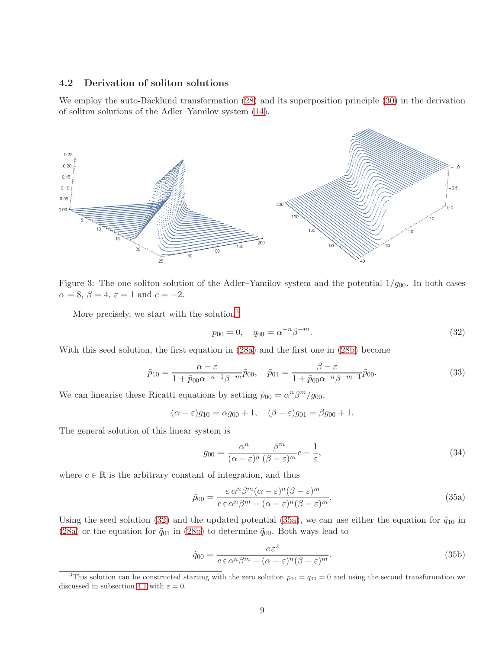#### 4.2 Derivation of soliton solutions

We employ the auto-Bäcklund transformation  $(28)$  and its superposition principle  $(30)$  in the derivation of soliton solutions of the Adler–Yamilov system [\(14\)](#page-5-1).



Figure 3: The one soliton solution of the Adler–Yamilov system and the potential  $1/g_{00}$ . In both cases  $\alpha = 8, \beta = 4, \varepsilon = 1$  and  $c = -2$ .

<span id="page-8-4"></span>More precisely, we start with the solution<sup>[3](#page-8-0)</sup>

<span id="page-8-1"></span>
$$
p_{00} = 0, \quad q_{00} = \alpha^{-n} \beta^{-m}.
$$
\n(32)

With this seed solution, the first equation in [\(28a\)](#page-7-1) and the first one in [\(28b\)](#page-7-2) become

$$
\tilde{p}_{10} = \frac{\alpha - \varepsilon}{1 + \tilde{p}_{00}\alpha^{-n-1}\beta^{-m}}\tilde{p}_{00}, \quad \tilde{p}_{01} = \frac{\beta - \varepsilon}{1 + \tilde{p}_{00}\alpha^{-n}\beta^{-m-1}}\tilde{p}_{00}.
$$
\n(33)

We can linearise these Ricatti equations by setting  $\tilde{p}_{00} = \alpha^n \beta^m / g_{00}$ ,

$$
(\alpha - \varepsilon)g_{10} = \alpha g_{00} + 1, \quad (\beta - \varepsilon)g_{01} = \beta g_{00} + 1.
$$

The general solution of this linear system is

<span id="page-8-3"></span>
$$
g_{00} = \frac{\alpha^n}{(\alpha - \varepsilon)^n} \frac{\beta^m}{(\beta - \varepsilon)^m} c - \frac{1}{\varepsilon},\tag{34}
$$

where  $c \in \mathbb{R}$  is the arbitrary constant of integration, and thus

<span id="page-8-2"></span>
$$
\tilde{p}_{00} = \frac{\varepsilon \,\alpha^n \beta^m (\alpha - \varepsilon)^n (\beta - \varepsilon)^m}{c \,\varepsilon \,\alpha^n \beta^m - (\alpha - \varepsilon)^n (\beta - \varepsilon)^m}.
$$
\n(35a)

Using the seed solution [\(32\)](#page-8-1) and the updated potential [\(35a\)](#page-8-2), we can use either the equation for  $\tilde{q}_{10}$  in [\(28a\)](#page-7-1) or the equation for  $\tilde{q}_{01}$  in [\(28b\)](#page-7-2) to determine  $\tilde{q}_{00}$ . Both ways lead to

<span id="page-8-5"></span>
$$
\tilde{q}_{00} = \frac{c \,\varepsilon^2}{c \,\varepsilon \,\alpha^n \beta^m - (\alpha - \varepsilon)^n (\beta - \varepsilon)^m}.
$$
\n(35b)

<span id="page-8-0"></span><sup>&</sup>lt;sup>3</sup>This solution can be constructed starting with the zero solution  $p_{00} = q_{00} = 0$  and using the second transformation we discussed in subsection [4.1](#page-5-4) with  $\varepsilon = 0$ .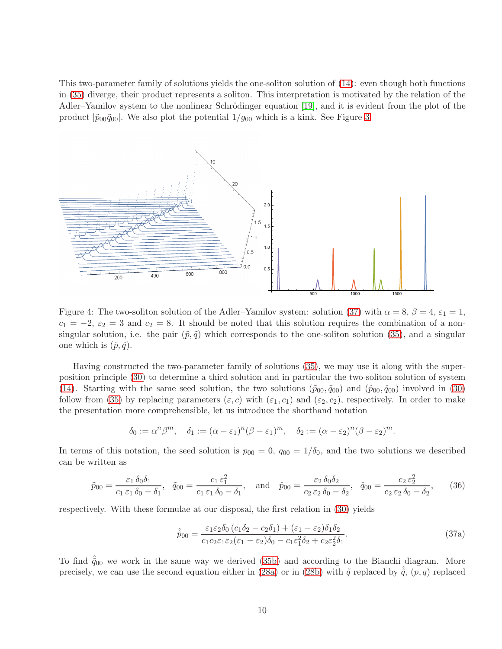This two-parameter family of solutions yields the one-soliton solution of [\(14\)](#page-5-1): even though both functions in [\(35\)](#page-8-3) diverge, their product represents a soliton. This interpretation is motivated by the relation of the Adler–Yamilov system to the nonlinear Schrödinger equation [\[19\]](#page-12-0), and it is evident from the plot of the product  $|\tilde{p}_{00}\tilde{q}_{00}|$ . We also plot the potential  $1/g_{00}$  which is a kink. See Figure [3.](#page-8-4)



<span id="page-9-2"></span>Figure 4: The two-soliton solution of the Adler–Yamilov system: solution [\(37\)](#page-9-0) with  $\alpha = 8$ ,  $\beta = 4$ ,  $\varepsilon_1 = 1$ ,  $c_1 = -2, \, \varepsilon_2 = 3$  and  $c_2 = 8$ . It should be noted that this solution requires the combination of a nonsingular solution, i.e. the pair  $(\tilde{p}, \tilde{q})$  which corresponds to the one-soliton solution [\(35\)](#page-8-3), and a singular one which is  $(\hat{p}, \hat{q})$ .

Having constructed the two-parameter family of solutions [\(35\)](#page-8-3), we may use it along with the superposition principle [\(30\)](#page-7-7) to determine a third solution and in particular the two-soliton solution of system [\(14\)](#page-5-1). Starting with the same seed solution, the two solutions  $(\tilde{p}_{00}, \tilde{q}_{00})$  and  $(\tilde{p}_{00}, \tilde{q}_{00})$  involved in [\(30\)](#page-7-7) follow from [\(35\)](#page-8-3) by replacing parameters  $(\varepsilon, c)$  with  $(\varepsilon_1, c_1)$  and  $(\varepsilon_2, c_2)$ , respectively. In order to make the presentation more comprehensible, let us introduce the shorthand notation

$$
\delta_0 := \alpha^n \beta^m, \quad \delta_1 := (\alpha - \varepsilon_1)^n (\beta - \varepsilon_1)^m, \quad \delta_2 := (\alpha - \varepsilon_2)^n (\beta - \varepsilon_2)^m.
$$

In terms of this notation, the seed solution is  $p_{00} = 0$ ,  $q_{00} = 1/\delta_0$ , and the two solutions we described can be written as

<span id="page-9-1"></span>
$$
\tilde{p}_{00} = \frac{\varepsilon_1 \,\delta_0 \delta_1}{c_1 \,\varepsilon_1 \,\delta_0 - \delta_1}, \quad \tilde{q}_{00} = \frac{c_1 \,\varepsilon_1^2}{c_1 \,\varepsilon_1 \,\delta_0 - \delta_1}, \quad \text{and} \quad \hat{p}_{00} = \frac{\varepsilon_2 \,\delta_0 \delta_2}{c_2 \,\varepsilon_2 \,\delta_0 - \delta_2}, \quad \hat{q}_{00} = \frac{c_2 \,\varepsilon_2^2}{c_2 \,\varepsilon_2 \,\delta_0 - \delta_2}, \tag{36}
$$

respectively. With these formulae at our disposal, the first relation in [\(30\)](#page-7-7) yields

<span id="page-9-0"></span>
$$
\hat{\tilde{p}}_{00} = \frac{\varepsilon_1 \varepsilon_2 \delta_0 (c_1 \delta_2 - c_2 \delta_1) + (\varepsilon_1 - \varepsilon_2) \delta_1 \delta_2}{c_1 c_2 \varepsilon_1 \varepsilon_2 (\varepsilon_1 - \varepsilon_2) \delta_0 - c_1 \varepsilon_1^2 \delta_2 + c_2 \varepsilon_2^2 \delta_1}.
$$
\n(37a)

To find  $\hat{q}_{00}$  we work in the same way we derived [\(35b\)](#page-8-5) and according to the Bianchi diagram. More precisely, we can use the second equation either in [\(28a\)](#page-7-1) or in [\(28b\)](#page-7-2) with  $\tilde{q}$  replaced by  $\tilde{q}$ ,  $(p, q)$  replaced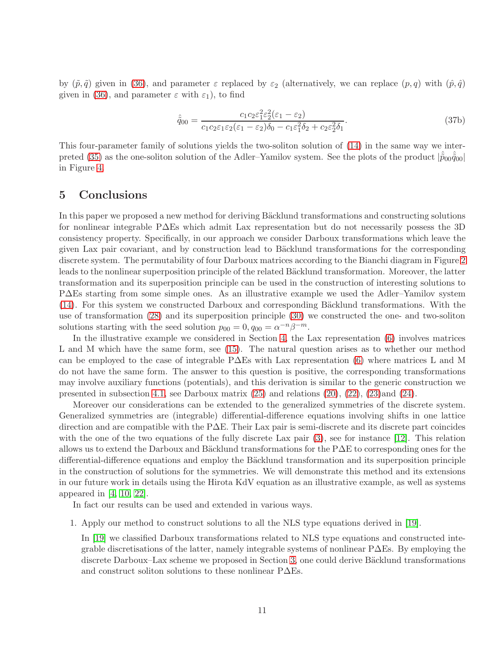by  $(\tilde{p}, \tilde{q})$  given in [\(36\)](#page-9-1), and parameter  $\varepsilon$  replaced by  $\varepsilon_2$  (alternatively, we can replace  $(p, q)$  with  $(\hat{p}, \hat{q})$ given in [\(36\)](#page-9-1), and parameter  $\varepsilon$  with  $\varepsilon_1$ ), to find

$$
\hat{\tilde{q}}_{00} = \frac{c_1 c_2 \varepsilon_1^2 \varepsilon_2^2 (\varepsilon_1 - \varepsilon_2)}{c_1 c_2 \varepsilon_1 \varepsilon_2 (\varepsilon_1 - \varepsilon_2) \delta_0 - c_1 \varepsilon_1^2 \delta_2 + c_2 \varepsilon_2^2 \delta_1}.
$$
\n(37b)

This four-parameter family of solutions yields the two-soliton solution of [\(14\)](#page-5-1) in the same way we inter-preted [\(35\)](#page-8-3) as the one-soliton solution of the Adler–Yamilov system. See the plots of the product  $|\tilde{p}_{00}\tilde{q}_{00}|$ in Figure [4.](#page-9-2)

### 5 Conclusions

In this paper we proposed a new method for deriving Bäcklund transformations and constructing solutions for nonlinear integrable P∆Es which admit Lax representation but do not necessarily possess the 3D consistency property. Specifically, in our approach we consider Darboux transformations which leave the given Lax pair covariant, and by construction lead to Bäcklund transformations for the corresponding discrete system. The permutability of four Darboux matrices according to the Bianchi diagram in Figure [2](#page-4-2) leads to the nonlinear superposition principle of the related Bäcklund transformation. Moreover, the latter transformation and its superposition principle can be used in the construction of interesting solutions to P∆Es starting from some simple ones. As an illustrative example we used the Adler–Yamilov system  $(14)$ . For this system we constructed Darboux and corresponding Bäcklund transformations. With the use of transformation [\(28\)](#page-7-0) and its superposition principle [\(30\)](#page-7-7) we constructed the one- and two-soliton solutions starting with the seed solution  $p_{00} = 0, q_{00} = \alpha^{-n}\beta^{-m}$ .

In the illustrative example we considered in Section [4,](#page-5-0) the Lax representation [\(6\)](#page-3-0) involves matrices L and M which have the same form, see [\(15\)](#page-5-5). The natural question arises as to whether our method can be employed to the case of integrable P∆Es with Lax representation [\(6\)](#page-3-0) where matrices L and M do not have the same form. The answer to this question is positive, the corresponding transformations may involve auxiliary functions (potentials), and this derivation is similar to the generic construction we presented in subsection [4.1,](#page-5-4) see Darboux matrix  $(25)$  and relations  $(20)$ ,  $(22)$ ,  $(23)$  and  $(24)$ .

Moreover our considerations can be extended to the generalized symmetries of the discrete system. Generalized symmetries are (integrable) differential-difference equations involving shifts in one lattice direction and are compatible with the P∆E. Their Lax pair is semi-discrete and its discrete part coincides with the one of the two equations of the fully discrete Lax pair [\(3\)](#page-2-3), see for instance [\[12\]](#page-12-11). This relation allows us to extend the Darboux and Bäcklund transformations for the P $\Delta E$  to corresponding ones for the differential-difference equations and employ the Bäcklund transformation and its superposition principle in the construction of solutions for the symmetries. We will demonstrate this method and its extensions in our future work in details using the Hirota KdV equation as an illustrative example, as well as systems appeared in [\[4,](#page-11-3) [10,](#page-12-12) [22\]](#page-13-5).

In fact our results can be used and extended in various ways.

1. Apply our method to construct solutions to all the NLS type equations derived in [\[19\]](#page-12-0).

In [\[19\]](#page-12-0) we classified Darboux transformations related to NLS type equations and constructed integrable discretisations of the latter, namely integrable systems of nonlinear P∆Es. By employing the discrete Darboux–Lax scheme we proposed in Section [3,](#page-2-1) one could derive Bäcklund transformations and construct soliton solutions to these nonlinear P∆Es.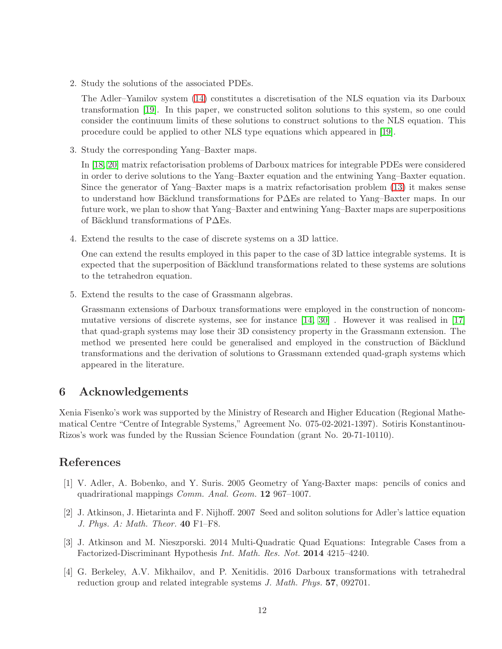2. Study the solutions of the associated PDEs.

The Adler–Yamilov system [\(14\)](#page-5-1) constitutes a discretisation of the NLS equation via its Darboux transformation [\[19\]](#page-12-0). In this paper, we constructed soliton solutions to this system, so one could consider the continuum limits of these solutions to construct solutions to the NLS equation. This procedure could be applied to other NLS type equations which appeared in [\[19\]](#page-12-0).

3. Study the corresponding Yang–Baxter maps.

In [\[18,](#page-12-13) [20\]](#page-12-14) matrix refactorisation problems of Darboux matrices for integrable PDEs were considered in order to derive solutions to the Yang–Baxter equation and the entwining Yang–Baxter equation. Since the generator of Yang–Baxter maps is a matrix refactorisation problem [\(13\)](#page-4-3) it makes sense to understand how Bäcklund transformations for P∆Es are related to Yang–Baxter maps. In our future work, we plan to show that Yang–Baxter and entwining Yang–Baxter maps are superpositions of Bäcklund transformations of P∆Es.

4. Extend the results to the case of discrete systems on a 3D lattice.

One can extend the results employed in this paper to the case of 3D lattice integrable systems. It is expected that the superposition of Bäcklund transformations related to these systems are solutions to the tetrahedron equation.

5. Extend the results to the case of Grassmann algebras.

Grassmann extensions of Darboux transformations were employed in the construction of noncommutative versions of discrete systems, see for instance [\[14,](#page-12-15) [30\]](#page-13-1) . However it was realised in [\[17\]](#page-12-16) that quad-graph systems may lose their 3D consistency property in the Grassmann extension. The method we presented here could be generalised and employed in the construction of Bäcklund transformations and the derivation of solutions to Grassmann extended quad-graph systems which appeared in the literature.

## 6 Acknowledgements

Xenia Fisenko's work was supported by the Ministry of Research and Higher Education (Regional Mathematical Centre "Centre of Integrable Systems," Agreement No. 075-02-2021-1397). Sotiris Konstantinou-Rizos's work was funded by the Russian Science Foundation (grant No. 20-71-10110).

## <span id="page-11-0"></span>References

- [1] V. Adler, A. Bobenko, and Y. Suris. 2005 Geometry of Yang-Baxter maps: pencils of conics and quadrirational mappings Comm. Anal. Geom. 12 967–1007.
- <span id="page-11-1"></span>[2] J. Atkinson, J. Hietarinta and F. Nijhoff. 2007 Seed and soliton solutions for Adler's lattice equation J. Phys. A: Math. Theor. 40 F1–F8.
- <span id="page-11-2"></span>[3] J. Atkinson and M. Nieszporski. 2014 Multi-Quadratic Quad Equations: Integrable Cases from a Factorized-Discriminant Hypothesis Int. Math. Res. Not. 2014 4215–4240.
- <span id="page-11-3"></span>[4] G. Berkeley, A.V. Mikhailov, and P. Xenitidis. 2016 Darboux transformations with tetrahedral reduction group and related integrable systems J. Math. Phys. 57, 092701.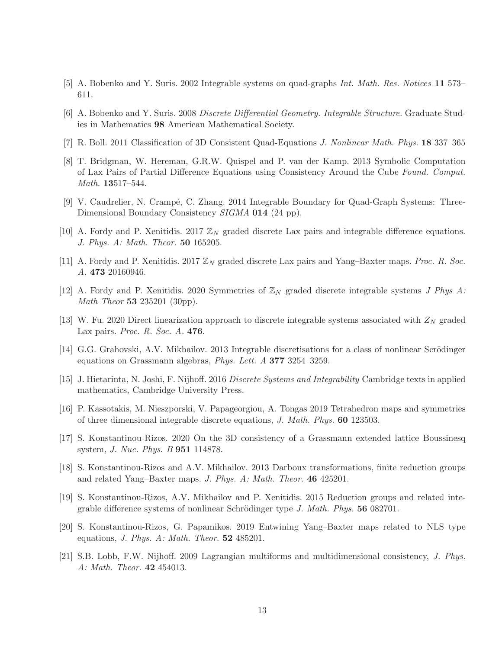- <span id="page-12-9"></span><span id="page-12-2"></span>[5] A. Bobenko and Y. Suris. 2002 Integrable systems on quad-graphs Int. Math. Res. Notices 11 573– 611.
- <span id="page-12-6"></span>[6] A. Bobenko and Y. Suris. 2008 Discrete Differential Geometry. Integrable Structure. Graduate Studies in Mathematics 98 American Mathematical Society.
- <span id="page-12-10"></span>[7] R. Boll. 2011 Classification of 3D Consistent Quad-Equations J. Nonlinear Math. Phys. 18 337–365
- [8] T. Bridgman, W. Hereman, G.R.W. Quispel and P. van der Kamp. 2013 Symbolic Computation of Lax Pairs of Partial Difference Equations using Consistency Around the Cube Found. Comput. Math. 13517–544.
- <span id="page-12-3"></span>[9] V. Caudrelier, N. Crampé, C. Zhang. 2014 Integrable Boundary for Quad-Graph Systems: Three-Dimensional Boundary Consistency SIGMA 014 (24 pp).
- <span id="page-12-12"></span><span id="page-12-8"></span>[10] A. Fordy and P. Xenitidis. 2017  $\mathbb{Z}_N$  graded discrete Lax pairs and integrable difference equations. J. Phys. A: Math. Theor. 50 165205.
- <span id="page-12-11"></span>[11] A. Fordy and P. Xenitidis. 2017  $\mathbb{Z}_N$  graded discrete Lax pairs and Yang–Baxter maps. Proc. R. Soc. A. 473 20160946.
- <span id="page-12-5"></span>[12] A. Fordy and P. Xenitidis. 2020 Symmetries of  $\mathbb{Z}_N$  graded discrete integrable systems J Phys A: Math Theor 53 235201 (30pp).
- <span id="page-12-15"></span>[13] W. Fu. 2020 Direct linearization approach to discrete integrable systems associated with  $Z_N$  graded Lax pairs. Proc. R. Soc. A. 476.
- <span id="page-12-1"></span>[14] G.G. Grahovski, A.V. Mikhailov. 2013 Integrable discretisations for a class of nonlinear Scrödinger equations on Grassmann algebras, Phys. Lett. A 377 3254–3259.
- <span id="page-12-4"></span>[15] J. Hietarinta, N. Joshi, F. Nijhoff. 2016 Discrete Systems and Integrability Cambridge texts in applied mathematics, Cambridge University Press.
- <span id="page-12-16"></span>[16] P. Kassotakis, M. Nieszporski, V. Papageorgiou, A. Tongas 2019 Tetrahedron maps and symmetries of three dimensional integrable discrete equations, J. Math. Phys. 60 123503.
- [17] S. Konstantinou-Rizos. 2020 On the 3D consistency of a Grassmann extended lattice Boussinesq system, J. Nuc. Phys. B 951 114878.
- <span id="page-12-13"></span>[18] S. Konstantinou-Rizos and A.V. Mikhailov. 2013 Darboux transformations, finite reduction groups and related Yang–Baxter maps. J. Phys. A: Math. Theor. 46 425201.
- <span id="page-12-0"></span>[19] S. Konstantinou-Rizos, A.V. Mikhailov and P. Xenitidis. 2015 Reduction groups and related integrable difference systems of nonlinear Schrödinger type J. Math. Phys. 56 082701.
- <span id="page-12-14"></span>[20] S. Konstantinou-Rizos, G. Papamikos. 2019 Entwining Yang–Baxter maps related to NLS type equations, *J. Phys. A: Math. Theor.*  $52 \, 485201$ .
- <span id="page-12-7"></span>[21] S.B. Lobb, F.W. Nijhoff. 2009 Lagrangian multiforms and multidimensional consistency, J. Phys. A: Math. Theor. 42 454013.